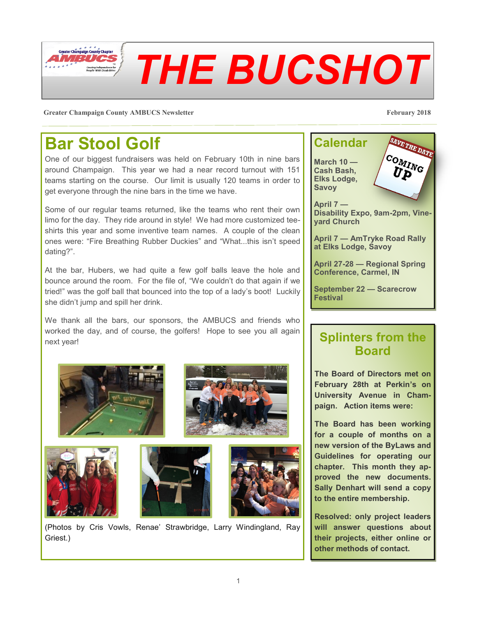

**Greater Champaign County AMBUCS Newsletter February 2018**

#### **Bar Stool Golf**

One of our biggest fundraisers was held on February 10th in nine bars around Champaign. This year we had a near record turnout with 151 teams starting on the course. Our limit is usually 120 teams in order to get everyone through the nine bars in the time we have.

Some of our regular teams returned, like the teams who rent their own limo for the day. They ride around in style! We had more customized teeshirts this year and some inventive team names. A couple of the clean ones were: "Fire Breathing Rubber Duckies" and "What...this isn't speed dating?".

At the bar, Hubers, we had quite a few golf balls leave the hole and bounce around the room. For the file of, "We couldn't do that again if we tried!" was the golf ball that bounced into the top of a lady's boot! Luckily she didn't jump and spill her drink.

We thank all the bars, our sponsors, the AMBUCS and friends who worked the day, and of course, the golfers! Hope to see you all again next year!



(Photos by Cris Vowls, Renae' Strawbridge, Larry Windingland, Ray Griest.)



**September 22 — Scarecrow Festival**

#### **Splinters from the Board**

**The Board of Directors met on February 28th at Perkin's on University Avenue in Champaign. Action items were:**

**The Board has been working for a couple of months on a new version of the ByLaws and Guidelines for operating our chapter. This month they approved the new documents. Sally Denhart will send a copy to the entire membership.**

**Resolved: only project leaders will answer questions about their projects, either online or other methods of contact.**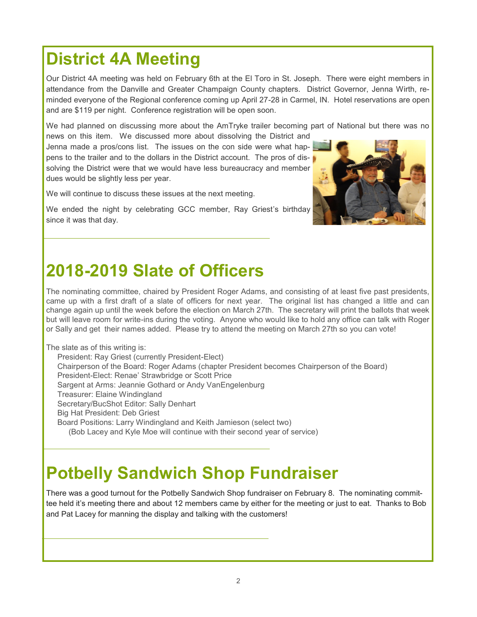## **District 4A Meeting**

Our District 4A meeting was held on February 6th at the El Toro in St. Joseph. There were eight members in attendance from the Danville and Greater Champaign County chapters. District Governor, Jenna Wirth, reminded everyone of the Regional conference coming up April 27-28 in Carmel, IN. Hotel reservations are open and are \$119 per night. Conference registration will be open soon.

We had planned on discussing more about the AmTryke trailer becoming part of National but there was no

news on this item. We discussed more about dissolving the District and Jenna made a pros/cons list. The issues on the con side were what happens to the trailer and to the dollars in the District account. The pros of dissolving the District were that we would have less bureaucracy and member dues would be slightly less per year.

We will continue to discuss these issues at the next meeting.

We ended the night by celebrating GCC member, Ray Griest's birthday since it was that day.

## **2018-2019 Slate of Officers**

The nominating committee, chaired by President Roger Adams, and consisting of at least five past presidents, came up with a first draft of a slate of officers for next year. The original list has changed a little and can change again up until the week before the election on March 27th. The secretary will print the ballots that week but will leave room for write-ins during the voting. Anyone who would like to hold any office can talk with Roger or Sally and get their names added. Please try to attend the meeting on March 27th so you can vote!

The slate as of this writing is:

President: Ray Griest (currently President-Elect) Chairperson of the Board: Roger Adams (chapter President becomes Chairperson of the Board) President-Elect: Renae' Strawbridge or Scott Price Sargent at Arms: Jeannie Gothard or Andy VanEngelenburg Treasurer: Elaine Windingland Secretary/BucShot Editor: Sally Denhart Big Hat President: Deb Griest Board Positions: Larry Windingland and Keith Jamieson (select two) (Bob Lacey and Kyle Moe will continue with their second year of service)

## **Potbelly Sandwich Shop Fundraiser**

There was a good turnout for the Potbelly Sandwich Shop fundraiser on February 8. The nominating committee held it's meeting there and about 12 members came by either for the meeting or just to eat. Thanks to Bob and Pat Lacey for manning the display and talking with the customers!